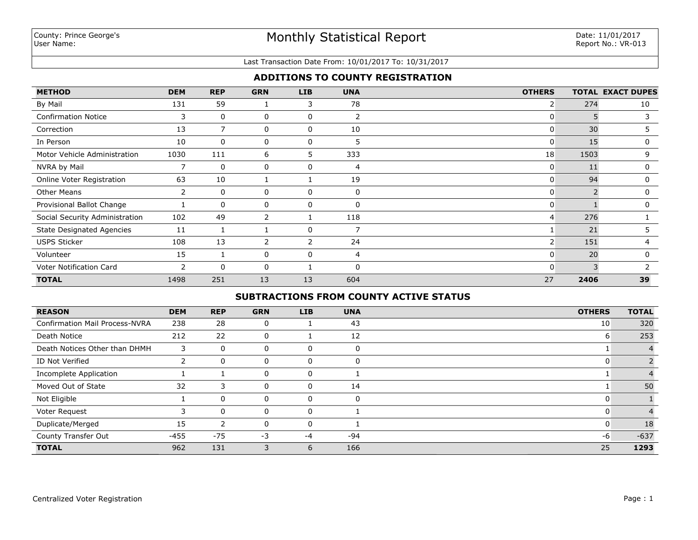### Last Transaction Date From: 10/01/2017 To: 10/31/2017

## **ADDITIONS TO COUNTY REGISTRATION**

| <b>METHOD</b>                    | <b>DEM</b>     | <b>REP</b>  | <b>GRN</b>     | <b>LIB</b> | <b>UNA</b> | <b>OTHERS</b>  |      | <b>TOTAL EXACT DUPES</b> |
|----------------------------------|----------------|-------------|----------------|------------|------------|----------------|------|--------------------------|
| By Mail                          | 131            | 59          |                | 3          | 78         | $\overline{2}$ | 274  | 10                       |
| <b>Confirmation Notice</b>       | 3              | $\mathbf 0$ | 0              | 0          | 2          | 0              | 5    | 3                        |
| Correction                       | 13             | 7           | 0              | 0          | 10         | 0              | 30   | 5                        |
| In Person                        | 10             | $\Omega$    | 0              | 0          | 5          | 0              | 15   | 0                        |
| Motor Vehicle Administration     | 1030           | 111         | 6              | 5          | 333        | 18             | 1503 | 9                        |
| NVRA by Mail                     | 7              | 0           | 0              | 0          | 4          | 0              | 11   | 0                        |
| Online Voter Registration        | 63             | 10          |                |            | 19         | 0              | 94   | 0                        |
| Other Means                      | $\overline{2}$ | $\Omega$    | 0              | 0          | 0          | $\mathbf{0}$   |      | 0                        |
| Provisional Ballot Change        |                | $\Omega$    | 0              | 0          | 0          | 0              |      | $\mathbf{0}$             |
| Social Security Administration   | 102            | 49          | $\overline{2}$ |            | 118        | $\overline{4}$ | 276  |                          |
| <b>State Designated Agencies</b> | 11             |             |                | 0          |            |                | 21   | C.                       |
| <b>USPS Sticker</b>              | 108            | 13          | $\overline{2}$ | 2          | 24         | $\overline{2}$ | 151  | 4                        |
| Volunteer                        | 15             |             | 0              | 0          | 4          | 0              | 20   | 0                        |
| Voter Notification Card          | $\overline{2}$ | $\Omega$    | 0              |            | $\Omega$   | 0              |      |                          |
| <b>TOTAL</b>                     | 1498           | 251         | 13             | 13         | 604        | 27             | 2406 | 39                       |

# **SUBTRACTIONS FROM COUNTY ACTIVE STATUS**

| <b>REASON</b>                         | <b>DEM</b> | <b>REP</b>   | <b>GRN</b> | <b>LIB</b> | <b>UNA</b>  | <b>OTHERS</b> | <b>TOTAL</b> |
|---------------------------------------|------------|--------------|------------|------------|-------------|---------------|--------------|
| <b>Confirmation Mail Process-NVRA</b> | 238        | 28           | 0          |            | 43          | 10            | 320          |
| Death Notice                          | 212        | 22           | 0          |            | 12          | 6             | 253          |
| Death Notices Other than DHMH         | 3          | 0            | 0          |            | $\mathbf 0$ |               |              |
| ID Not Verified                       |            | 0            | 0          | 0          | 0           | 0             |              |
| Incomplete Application                |            |              |            |            |             |               |              |
| Moved Out of State                    | 32         | 3            | 0          |            | 14          |               | 50           |
| Not Eligible                          |            | 0            |            |            | 0           | 0             |              |
| Voter Request                         |            | $\mathbf{0}$ | 0          |            |             | 0             |              |
| Duplicate/Merged                      | 15         | 2            | 0          | 0          |             | 0             | 18           |
| County Transfer Out                   | $-455$     | $-75$        | $-3$       | -4         | -94         | -6            | $-637$       |
| <b>TOTAL</b>                          | 962        | 131          |            | 6          | 166         | 25            | 1293         |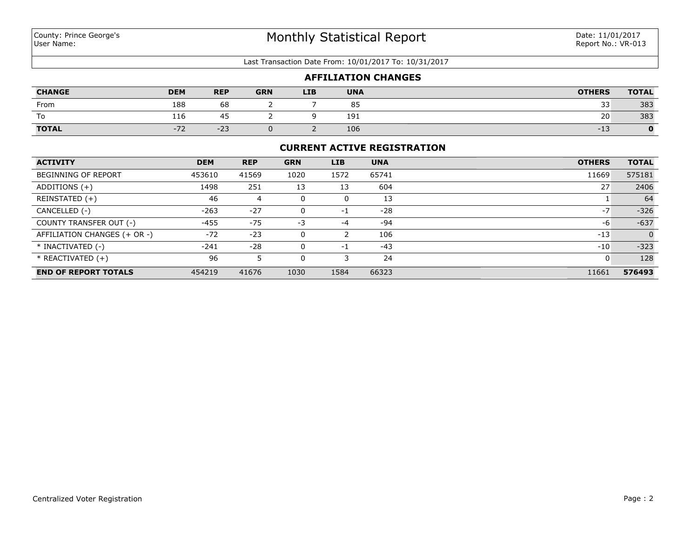#### Last Transaction Date From: 10/01/2017 To: 10/31/2017

|               |            |            |            |            |            | <b>AFFILIATION CHANGES</b> |               |              |
|---------------|------------|------------|------------|------------|------------|----------------------------|---------------|--------------|
| <b>CHANGE</b> | <b>DEM</b> | <b>REP</b> | <b>GRN</b> | <b>LIB</b> | <b>UNA</b> |                            | <b>OTHERS</b> | <b>TOTAL</b> |
| From          | 188        | 68         |            |            | 85         |                            | 33            | 383          |
| ١o            | 116        | 45         |            |            | 191        |                            | 20            | 383          |
| <b>TOTAL</b>  | $-72$      | $-23$      |            |            | 106        |                            | $-13$         |              |

## **CURRENT ACTIVE REGISTRATION**

| <b>ACTIVITY</b>              | <b>DEM</b> | <b>REP</b> | <b>GRN</b> | <b>LIB</b> | <b>UNA</b> | <b>OTHERS</b> | <b>TOTAL</b> |
|------------------------------|------------|------------|------------|------------|------------|---------------|--------------|
| BEGINNING OF REPORT          | 453610     | 41569      | 1020       | 1572       | 65741      | 11669         | 575181       |
| ADDITIONS $(+)$              | 1498       | 251        | 13         | 13         | 604        | 27            | 2406         |
| REINSTATED (+)               | 46         | 4          |            | 0          | 13         |               | 64           |
| CANCELLED (-)                | $-263$     | $-27$      |            | -1         | $-28$      | $-7$          | $-326$       |
| COUNTY TRANSFER OUT (-)      | -455       | $-75$      | -3         | $-4$       | -94        | -6            | $-637$       |
| AFFILIATION CHANGES (+ OR -) | $-72$      | $-23$      |            |            | 106        | $-13$         | $\Omega$     |
| * INACTIVATED (-)            | $-241$     | $-28$      |            | - 1        | $-43$      | $-10$         | $-323$       |
| $*$ REACTIVATED $(+)$        | 96         |            |            |            | 24         |               | 128          |
| <b>END OF REPORT TOTALS</b>  | 454219     | 41676      | 1030       | 1584       | 66323      | 11661         | 576493       |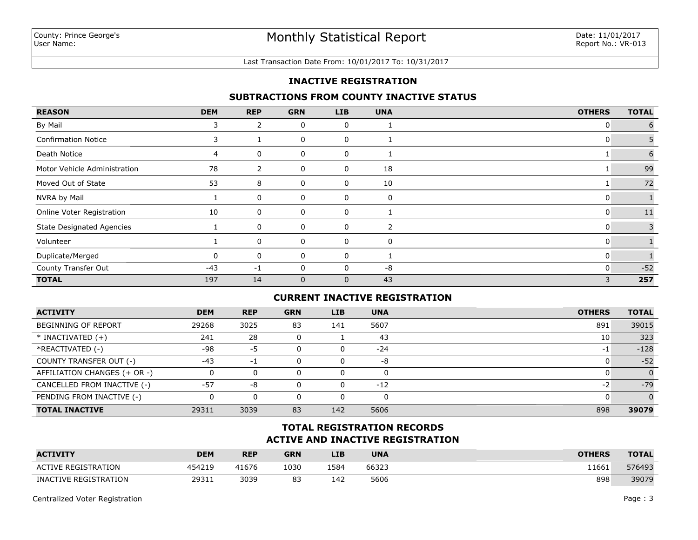#### Last Transaction Date From: 10/01/2017 To: 10/31/2017

### **INACTIVE REGISTRATION**

### **SUBTRACTIONS FROM COUNTY INACTIVE STATUS**

| <b>REASON</b>                    | <b>DEM</b> | <b>REP</b>     | <b>GRN</b>   | LIB         | <b>UNA</b> | <b>OTHERS</b> | <b>TOTAL</b> |
|----------------------------------|------------|----------------|--------------|-------------|------------|---------------|--------------|
| By Mail                          | Ć          | $\overline{2}$ | 0            | 0           |            | 0             | 6            |
| <b>Confirmation Notice</b>       | 3          |                | 0            | 0           |            | 0             | 5            |
| Death Notice                     | 4          | 0              | 0            | 0           |            |               | 6            |
| Motor Vehicle Administration     | 78         | $\overline{2}$ | 0            | 0           | 18         |               | 99           |
| Moved Out of State               | 53         | 8              | 0            | 0           | 10         |               | 72           |
| NVRA by Mail                     |            | 0              | 0            | 0           | 0          | 0             |              |
| Online Voter Registration        | 10         | 0              | 0            | 0           |            | 0             | 11           |
| <b>State Designated Agencies</b> |            | 0              | 0            | 0           | 2          | 0             | 3            |
| Volunteer                        |            | 0              | 0            | 0           | 0          | 0             |              |
| Duplicate/Merged                 | O          | 0              | 0            | 0           |            | 0             |              |
| County Transfer Out              | $-43$      | $-1$           | $\Omega$     |             | -8         | $\Omega$      | $-52$        |
| <b>TOTAL</b>                     | 197        | 14             | $\mathbf{0}$ | $\mathbf 0$ | 43         | 3             | 257          |

### **CURRENT INACTIVE REGISTRATION**

| <b>ACTIVITY</b>              | <b>DEM</b> | <b>REP</b> | <b>GRN</b> | <b>LIB</b> | <b>UNA</b> | <b>OTHERS</b> | <b>TOTAL</b> |
|------------------------------|------------|------------|------------|------------|------------|---------------|--------------|
| BEGINNING OF REPORT          | 29268      | 3025       | 83         | 141        | 5607       | 891           | 39015        |
| $*$ INACTIVATED $(+)$        | 241        | 28         |            |            | 43         | 10            | 323          |
| *REACTIVATED (-)             | -98        | -5         |            | 0          | $-24$      | -1            | $-128$       |
| COUNTY TRANSFER OUT (-)      | $-43$      | -1         |            | 0          | -8         |               | $-52$        |
| AFFILIATION CHANGES (+ OR -) |            | 0          |            | 0          | $\Omega$   |               | $\Omega$     |
| CANCELLED FROM INACTIVE (-)  | $-57$      | -8         |            | 0          | $-12$      | -2            | $-79$        |
| PENDING FROM INACTIVE (-)    |            | 0          |            |            |            |               | $\Omega$     |
| <b>TOTAL INACTIVE</b>        | 29311      | 3039       | 83         | 142        | 5606       | 898           | 39079        |

# **ACTIVE AND INACTIVE REGISTRATION TOTAL REGISTRATION RECORDS**

| <b>ACTIVITY</b>            | <b>DEM</b> | <b>REP</b> | <b>GRN</b> | LIB  | <b>UNA</b> | <b>OTHERS</b> | <b>TOTAL</b> |
|----------------------------|------------|------------|------------|------|------------|---------------|--------------|
| <b>ACTIVE REGISTRATION</b> | 454219     | 41676      | 1030       | 1584 | 66323      | 11661         | 576493       |
| INACTIVE REGISTRATION      | 29311      | 3039       | 83         | 142  | 5606       | 898           | 39079        |